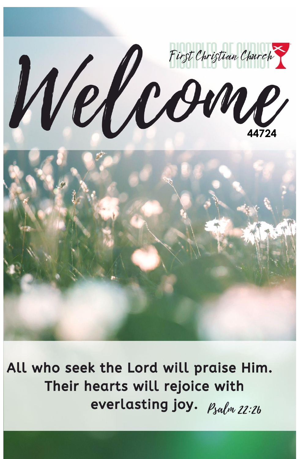

All who seek the Lord will praise Him. Their hearts will rejoice with everlasting joy. Psalm 22:26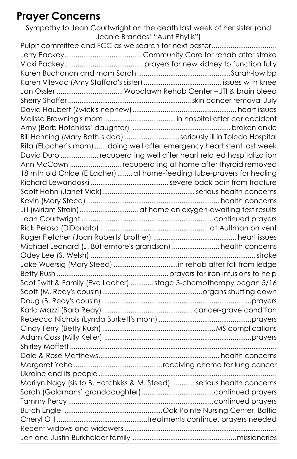## **Prayer Concerns**

Sympathy to Jean Courtwright on the death last week of her sister (and Jeanie Brandes' "Aunt Phyllis") Pulpit committee and FCC as we search for next pastor.................................. Jerry Packey......................................... Community Care for rehab after stroke Vicki Packey..........................................prayers for new kidney to function fully Karen Buchanan and mom Sarah .................................................Sarah-low bp Karen Vilevac (Amy Stafford's sister)......................................... issues with knee Jan Ossler ...................................Woodlawn Rehab Center –UTI & brain bleed Sherry Shaffer .................................................................skin cancer removal July David Haubert (Zwick's nephew)....................................................... heart issues Melissa Browning's mom ......................................in hospital after car accident Amy (Barb Hotchkiss' daughter) ....................................................broken ankle Bill Henning (Mary Beth's dad).............................seriously ill in Toledo Hospital Rita (ELacher's mom).......doing well after emergency heart stent last week David Duro .................... recuperating well after heart related hospitalization Ann McCown ........................... recuperating at home after thyroid removed 18 mth old Chloe (E Lacher) ........ at home-feeding tube-prayers for healing Richard Lewandoski ......................................... severe back pain from fracture Scott Hahn (Janet Vick).................................................serious health concerns Kevin (Mary Steed) ...................................................................... health concerns Jill (Miriam Strain)............................... at home on oxygen-awaiting test results Jean Courtwright ......................................................................continued prayers Rick Peloso (DiDonato) ..........................................................at Aultman on vent Roger Fletcher (Joan Roberts' brother) ............................................ heart issues Michael Leonard (J. Buttermore's grandson)......................... health concerns Odey Lee (S. Welsh) ....................................................................................... stroke Jake Wuersig (Mary Steed)..................................in rehab after fall from ledge Betty Rush ...........................................................prayers for iron infusions to help Scot Twitt & Family (Eve Lacher)............ stage 3-chemotherapy began 5/16 Scott (M. Reay's cousin).....................................................organs shutting down Doug (B. Reay's cousin) ...............................................................................prayers Karla Mazzi (Barb Reay)................................................ cancer-grave condition Rebecca Nichols (Lynda Burkett's mom).................................................prayers Cindy Ferry (Betty Rush)............................................................MS complications Adam Coss (Milly Keller) ..............................................................................prayers Shirley Moffett............................................................................................................. Dale & Rose Matthews................................................................ health concerns Margaret Yoho...............................................receiving chemo for lung cancer Ukraine and its people.............................................................................................. Marilyn Nagy (sis to B. Hotchkiss & M. Steed) ............ serious health concerns Sarah (Goldmans' granddaughter)......................................continued prayers Tammy Percy .............................................................................continued prayers Butch Engle ....................................................Oak Pointe Nursing Center, Baltic Cheryl Ott................................................treatments continue, prayers needed Recent widows and widowers ................................................................................ Jen and Justin Burkholder family .......................................................missionaries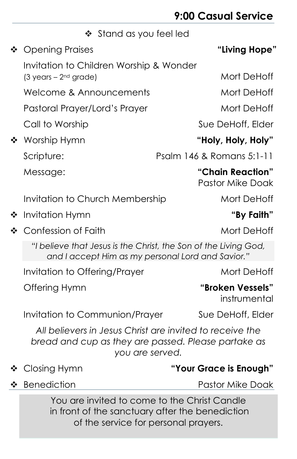## **9:00 Casual Service**

|              |                                                                                                                      | <b>7.UU WASUUI JEI VILE</b>                 |
|--------------|----------------------------------------------------------------------------------------------------------------------|---------------------------------------------|
|              | $\div$ Stand as you feel led                                                                                         |                                             |
| ❖            | <b>Opening Praises</b>                                                                                               | "Living Hope"                               |
|              | Invitation to Children Worship & Wonder<br>$(3 \text{ years} - 2^{\text{nd}} \text{ grade})$                         | Mort DeHoff                                 |
|              | Welcome & Announcements                                                                                              | Mort DeHoff                                 |
|              | Pastoral Prayer/Lord's Prayer                                                                                        | Mort DeHoff                                 |
|              | Call to Worship                                                                                                      | Sue DeHoff, Elder                           |
|              | ❖ Worship Hymn                                                                                                       | "Holy, Holy, Holy"                          |
|              | Scripture:                                                                                                           | Psalm 146 & Romans 5:1-11                   |
|              | Message:                                                                                                             | "Chain Reaction"<br><b>Pastor Mike Doak</b> |
|              | Invitation to Church Membership                                                                                      | Mort DeHoff                                 |
| ❖            | Invitation Hymn                                                                                                      | "By Faith"                                  |
| $\mathbf{r}$ | Confession of Faith                                                                                                  | Mort DeHoff                                 |
|              | "I believe that Jesus is the Christ, the Son of the Living God,<br>and I accept Him as my personal Lord and Savior." |                                             |
|              | Invitation to Offering/Prayer                                                                                        | Mort DeHoff                                 |
|              | Offering Hymn                                                                                                        | "Broken Vessels"                            |

instrumental

Invitation to Communion/Prayer Sue DeHoff, Elder

*All believers in Jesus Christ are invited to receive the bread and cup as they are passed. Please partake as you are served.*

### Closing Hymn **"Your Grace is Enough"**

◆ Benediction Pastor Mike Doak

You are invited to come to the Christ Candle in front of the sanctuary after the benediction of the service for personal prayers.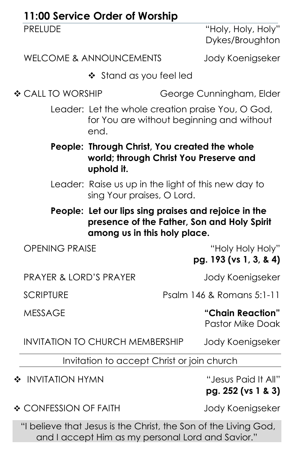|                                   | 11:00 Service Order of Worship                                                                        |                                                                                                |
|-----------------------------------|-------------------------------------------------------------------------------------------------------|------------------------------------------------------------------------------------------------|
| <b>PRELUDE</b>                    |                                                                                                       | "Holy, Holy, Holy"<br>Dykes/Broughton                                                          |
|                                   | <b>WELCOME &amp; ANNOUNCEMENTS</b>                                                                    | Jody Koenigseker                                                                               |
|                                   | ❖ Stand as you feel led                                                                               |                                                                                                |
| ❖ CALL TO WORSHIP                 |                                                                                                       | George Cunningham, Elder                                                                       |
|                                   | end.                                                                                                  | Leader: Let the whole creation praise You, O God,<br>for You are without beginning and without |
|                                   | People: Through Christ, You created the whole<br>world; through Christ You Preserve and<br>uphold it. |                                                                                                |
|                                   | Leader: Raise us up in the light of this new day to<br>sing Your praises, O Lord.                     |                                                                                                |
|                                   | People: Let our lips sing praises and rejoice in the<br>among us in this holy place.                  | presence of the Father, Son and Holy Spirit                                                    |
| <b>OPENING PRAISE</b>             |                                                                                                       | "Holy Holy Holy"<br>pg. 193 (vs 1, 3, & 4)                                                     |
| <b>PRAYER &amp; LORD'S PRAYER</b> |                                                                                                       | Jody Koenigseker                                                                               |
| <b>SCRIPTURE</b>                  |                                                                                                       | Psalm 146 & Romans 5:1-11                                                                      |
| <b>MESSAGE</b>                    |                                                                                                       | "Chain Reaction"<br><b>Pastor Mike Doak</b>                                                    |
|                                   | <b>INVITATION TO CHURCH MEMBERSHIP</b>                                                                | Jody Koenigseker                                                                               |
|                                   | Invitation to accept Christ or join church                                                            |                                                                                                |
| ❖ INVITATION HYMN                 |                                                                                                       | "Jesus Paid It All"<br>pg. 252 (vs 1 & 3)                                                      |
| ❖ CONFESSION OF FAITH             |                                                                                                       | Jody Koenigseker                                                                               |
|                                   |                                                                                                       | "I believe that Jesus is the Christ, the Son of the Living God,                                |

and I accept Him as my personal Lord and Savior."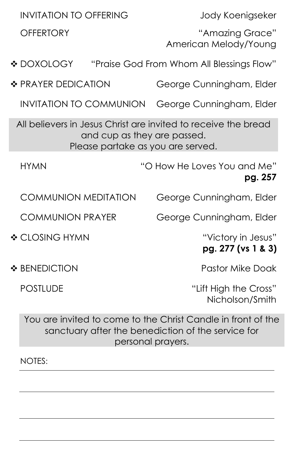| <b>INVITATION TO OFFERING</b>                                                                                                      |  | Jody Koenigseker                                             |  |  |
|------------------------------------------------------------------------------------------------------------------------------------|--|--------------------------------------------------------------|--|--|
| <b>OFFERTORY</b>                                                                                                                   |  | "Amazing Grace"<br>American Melody/Young                     |  |  |
| ❖ DOXOLOGY                                                                                                                         |  | "Praise God From Whom All Blessings Flow"                    |  |  |
| ❖ PRAYER DEDICATION                                                                                                                |  | George Cunningham, Elder                                     |  |  |
| <b>INVITATION TO COMMUNION</b>                                                                                                     |  | George Cunningham, Elder                                     |  |  |
| All believers in Jesus Christ are invited to receive the bread<br>and cup as they are passed.<br>Please partake as you are served. |  |                                                              |  |  |
| <b>HYMN</b>                                                                                                                        |  | "O How He Loves You and Me"<br>pg. 257                       |  |  |
| <b>COMMUNION MEDITATION</b>                                                                                                        |  | George Cunningham, Elder                                     |  |  |
| <b>COMMUNION PRAYER</b>                                                                                                            |  | George Cunningham, Elder                                     |  |  |
| ❖ CLOSING HYMN                                                                                                                     |  | "Victory in Jesus"<br>pg. 277 (vs 1 & 3)                     |  |  |
| ❖ BENEDICTION                                                                                                                      |  | <b>Pastor Mike Doak</b>                                      |  |  |
| <b>POSTLUDE</b>                                                                                                                    |  | "Lift High the Cross"<br>Nicholson/Smith                     |  |  |
|                                                                                                                                    |  | You are invited to come to the Christ Candle in front of the |  |  |

sanctuary after the benediction of the service for personal prayers.

NOTES: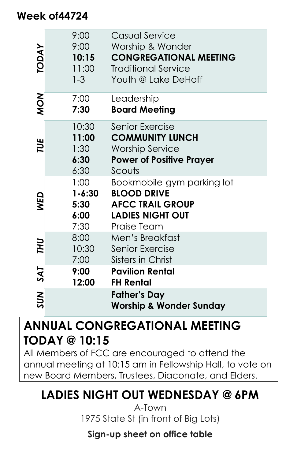### **Week of44724**

| <b>TODAY</b> | 9:00<br>9:00<br>10:15<br>11:00<br>$1 - 3$  | Casual Service<br>Worship & Wonder<br><b>CONGREGATIONAL MEETING</b><br><b>Traditional Service</b><br>Youth @ Lake DeHoff |
|--------------|--------------------------------------------|--------------------------------------------------------------------------------------------------------------------------|
| MON          | 7:00<br>7:30                               | Leadership<br><b>Board Meeting</b>                                                                                       |
| TUE          | 10:30<br>11:00<br>1:30<br>6:30<br>6:30     | Senior Exercise<br><b>COMMUNITY LUNCH</b><br><b>Worship Service</b><br><b>Power of Positive Prayer</b><br>Scouts         |
| <b>NED</b>   | 1:00<br>$1 - 6:30$<br>5:30<br>6:00<br>7:30 | Bookmobile-gym parking lot<br><b>BLOOD DRIVE</b><br><b>AFCC TRAIL GROUP</b><br><b>LADIES NIGHT OUT</b><br>Praise Team    |
| THU          | 8:00<br>10:30<br>7:00                      | Men's Breakfast<br>Senior Exercise<br>Sisters in Christ                                                                  |
| SAT          | 9:00<br>12:00                              | <b>Pavilion Rental</b><br><b>FH Rental</b>                                                                               |
| SUN          |                                            | <b>Father's Day</b><br><b>Worship &amp; Wonder Sunday</b>                                                                |

## **ANNUAL CONGREGATIONAL MEETING TODAY @ 10:15**

All Members of FCC are encouraged to attend the annual meeting at 10:15 am in Fellowship Hall, to vote on new Board Members, Trustees, Diaconate, and Elders.

## **LADIES NIGHT OUT WEDNESDAY @ 6PM**

A-Town 1975 State St (in front of Big Lots)

**Sign-up sheet on office table**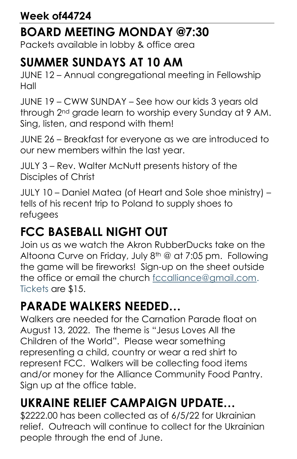Packets available in lobby & office area

# **SUMMER SUNDAYS AT 10 AM**

JUNE 12 – Annual congregational meeting in Fellowship Hall

JUNE 19 – CWW SUNDAY – See how our kids 3 years old through 2nd grade learn to worship every Sunday at 9 AM. Sing, listen, and respond with them!

JUNE 26 – Breakfast for everyone as we are introduced to our new members within the last year.

JULY 3 – Rev. Walter McNutt presents history of the Disciples of Christ

JULY 10 – Daniel Matea (of Heart and Sole shoe ministry) – tells of his recent trip to Poland to supply shoes to refugees

# **FCC BASEBALL NIGHT OUT**

Join us as we watch the Akron RubberDucks take on the Altoona Curve on Friday, July 8th @ at 7:05 pm. Following the game will be fireworks! Sign-up on the sheet outside the office or email the church fccalliance@gmail.com. Tickets are \$15.

# **PARADE WALKERS NEEDED…**

Walkers are needed for the Carnation Parade float on August 13, 2022. The theme is "Jesus Loves All the Children of the World". Please wear something representing a child, country or wear a red shirt to represent FCC. Walkers will be collecting food items and/or money for the Alliance Community Food Pantry. Sign up at the office table.

# **UKRAINE RELIEF CAMPAIGN UPDATE…**

\$2222.00 has been collected as of 6/5/22 for Ukrainian relief. Outreach will continue to collect for the Ukrainian people through the end of June.